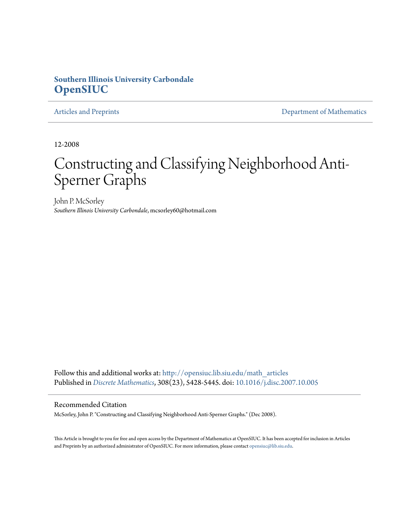### **Southern Illinois University Carbondale [OpenSIUC](http://opensiuc.lib.siu.edu?utm_source=opensiuc.lib.siu.edu%2Fmath_articles%2F37&utm_medium=PDF&utm_campaign=PDFCoverPages)**

[Articles and Preprints](http://opensiuc.lib.siu.edu/math_articles?utm_source=opensiuc.lib.siu.edu%2Fmath_articles%2F37&utm_medium=PDF&utm_campaign=PDFCoverPages) **[Department of Mathematics](http://opensiuc.lib.siu.edu/math?utm_source=opensiuc.lib.siu.edu%2Fmath_articles%2F37&utm_medium=PDF&utm_campaign=PDFCoverPages)** 

12-2008

# Constructing and Classifying Neighborhood Anti-Sperner Graphs

John P. McSorley *Southern Illinois University Carbondale*, mcsorley60@hotmail.com

Follow this and additional works at: [http://opensiuc.lib.siu.edu/math\\_articles](http://opensiuc.lib.siu.edu/math_articles?utm_source=opensiuc.lib.siu.edu%2Fmath_articles%2F37&utm_medium=PDF&utm_campaign=PDFCoverPages) Published in *[Discrete Mathematics](http://www.elsevier.com/wps/find/journaldescription.cws_home/505610/description#description)*, 308(23), 5428-5445. doi: [10.1016/j.disc.2007.10.005](http://dx.doi.org/10.1016/j.disc.2007.10.005)

#### Recommended Citation

McSorley, John P. "Constructing and Classifying Neighborhood Anti-Sperner Graphs." (Dec 2008).

This Article is brought to you for free and open access by the Department of Mathematics at OpenSIUC. It has been accepted for inclusion in Articles and Preprints by an authorized administrator of OpenSIUC. For more information, please contact [opensiuc@lib.siu.edu](mailto:opensiuc@lib.siu.edu).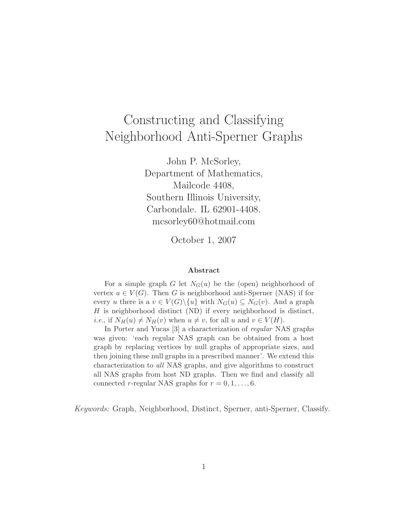# Constructing and Classifying Neighborhood Anti-Sperner Graphs

John P. McSorley, Department of Mathematics, Mailcode 4408, Southern Illinois University, Carbondale. IL 62901-4408. mcsorley60@hotmail.com

October 1, 2007

#### **Abstract**

For a simple graph G let  $N_G(u)$  be the (open) neighborhood of vertex  $u \in V(G)$ . Then G is neighborhood anti-Sperner (NAS) if for every u there is a  $v \in V(G) \setminus \{u\}$  with  $N_G(u) \subseteq N_G(v)$ . And a graph  $H$  is neighborhood distinct (ND) if every neighborhood is distinct, *i.e.*, if  $N_H(u) \neq N_H(v)$  when  $u \neq v$ , for all u and  $v \in V(H)$ .

In Porter and Yucas [3] a characterization of regular NAS graphs was given: 'each regular NAS graph can be obtained from a host graph by replacing vertices by null graphs of appropriate sizes, and then joining these null graphs in a prescribed manner'. We extend this characterization to all NAS graphs, and give algorithms to construct all NAS graphs from host ND graphs. Then we find and classify all connected r-regular NAS graphs for  $r = 0, 1, \ldots, 6$ .

*Keywords:* Graph, Neighborhood, Distinct, Sperner, anti-Sperner, Classify.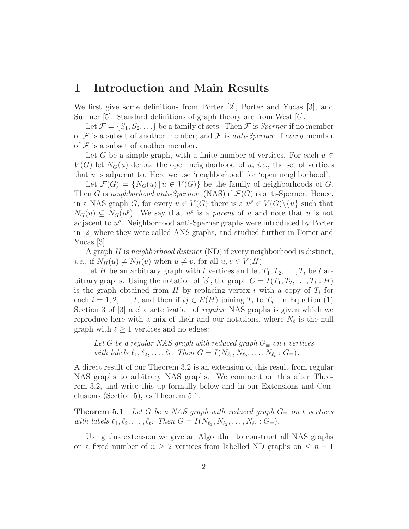## **1 Introduction and Main Results**

We first give some definitions from Porter [2], Porter and Yucas [3], and Sumner [5]. Standard definitions of graph theory are from West [6].

Let  $\mathcal{F} = \{S_1, S_2, \ldots\}$  be a family of sets. Then  $\mathcal{F}$  is *Sperner* if no member of  $\mathcal F$  is a subset of another member; and  $\mathcal F$  is *anti-Sperner* if *every* member of  $\mathcal F$  is a subset of another member.

Let G be a simple graph, with a finite number of vertices. For each  $u \in$  $V(G)$  let  $N_G(u)$  denote the open neighborhood of u, *i.e.*, the set of vertices that u is adjacent to. Here we use 'neighborhood' for 'open neighborhood'.

Let  $\mathcal{F}(G) = \{N_G(u) | u \in V(G)\}\$ be the family of neighborhoods of G. Then G is *neighborhood anti-Sperner* (NAS) if  $\mathcal{F}(G)$  is anti-Sperner. Hence, in a NAS graph G, for every  $u \in V(G)$  there is a  $u^p \in V(G) \setminus \{u\}$  such that  $N_G(u) \subseteq N_G(u^p)$ . We say that  $u^p$  is a *parent* of u and note that u is not adjacent to  $u^p$ . Neighborhood anti-Sperner graphs were introduced by Porter in [2] where they were called ANS graphs, and studied further in Porter and Yucas [3].

A graph H is *neighborhood distinct* (ND) if every neighborhood is distinct, *i.e.*, if  $N_H(u) \neq N_H(v)$  when  $u \neq v$ , for all  $u, v \in V(H)$ .

Let H be an arbitrary graph with t vertices and let  $T_1, T_2, \ldots, T_t$  be t arbitrary graphs. Using the notation of [3], the graph  $G = I(T_1, T_2, \ldots, T_t : H)$ is the graph obtained from H by replacing vertex i with a copy of  $T_i$  for each  $i = 1, 2, \ldots, t$ , and then if  $ij \in E(H)$  joining  $T_i$  to  $T_j$ . In Equation (1) Section 3 of [3] a characterization of *regular* NAS graphs is given which we reproduce here with a mix of their and our notations, where  $N_{\ell}$  is the null graph with  $\ell \geq 1$  vertices and no edges:

Let *G* be a regular NAS graph with reduced graph  $G_{\equiv}$  on t vertices *with labels*  $\ell_1, \ell_2, \ldots, \ell_t$ . Then  $G = I(N_{\ell_1}, N_{\ell_2}, \ldots, N_{\ell_t} : G_{\equiv})$ .

A direct result of our Theorem 3.2 is an extension of this result from regular NAS graphs to arbitrary NAS graphs. We comment on this after Theorem 3.2, and write this up formally below and in our Extensions and Conclusions (Section 5), as Theorem 5.1.

**Theorem 5.1** *Let* G *be a NAS graph with reduced graph*  $G_{\equiv}$  *on* t *vertices with labels*  $\ell_1, \ell_2, \ldots, \ell_t$ . Then  $G = I(N_{\ell_1}, N_{\ell_2}, \ldots, N_{\ell_t} : G_{\equiv})$ .

Using this extension we give an Algorithm to construct all NAS graphs on a fixed number of  $n \geq 2$  vertices from labelled ND graphs on  $\leq n-1$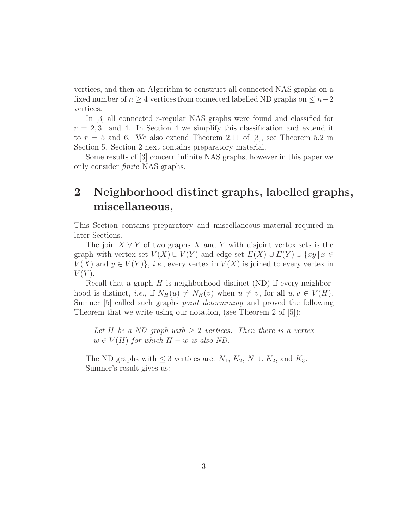vertices, and then an Algorithm to construct all connected NAS graphs on a fixed number of  $n \geq 4$  vertices from connected labelled ND graphs on  $\leq n-2$ vertices.

In [3] all connected r-regular NAS graphs were found and classified for  $r = 2, 3$ , and 4. In Section 4 we simplify this classification and extend it to  $r = 5$  and 6. We also extend Theorem 2.11 of [3], see Theorem 5.2 in Section 5. Section 2 next contains preparatory material.

Some results of [3] concern infinite NAS graphs, however in this paper we only consider *finite* NAS graphs.

## **2 Neighborhood distinct graphs, labelled graphs, miscellaneous,**

This Section contains preparatory and miscellaneous material required in later Sections.

The join  $X \vee Y$  of two graphs X and Y with disjoint vertex sets is the graph with vertex set  $V(X) \cup V(Y)$  and edge set  $E(X) \cup E(Y) \cup \{xy \mid x \in Y\}$  $V(X)$  and  $y \in V(Y)$ , *i.e.*, every vertex in  $V(X)$  is joined to every vertex in  $V(Y)$ .

Recall that a graph  $H$  is neighborhood distinct (ND) if every neighborhood is distinct, *i.e.*, if  $N_H(u) \neq N_H(v)$  when  $u \neq v$ , for all  $u, v \in V(H)$ . Sumner [5] called such graphs *point determining* and proved the following Theorem that we write using our notation, (see Theorem 2 of [5]):

*Let* H *be a ND graph with* ≥ 2 *vertices. Then there is a vertex*  $w \in V(H)$  *for which*  $H - w$  *is also ND.* 

The ND graphs with  $\leq 3$  vertices are:  $N_1, K_2, N_1 \cup K_2$ , and  $K_3$ . Sumner's result gives us: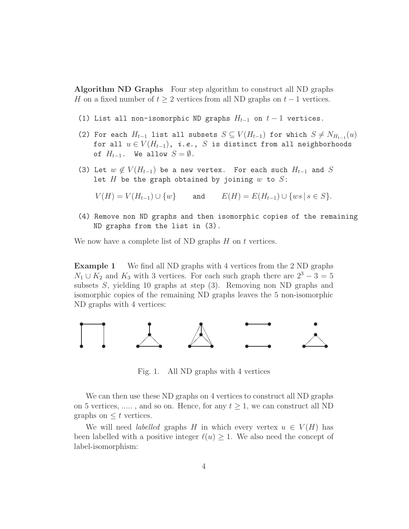**Algorithm ND Graphs** Four step algorithm to construct all ND graphs H on a fixed number of  $t \geq 2$  vertices from all ND graphs on  $t-1$  vertices.

- (1) List all non-isomorphic ND graphs  $H_{t-1}$  on  $t-1$  vertices.
- (2) For each  $H_{t-1}$  list all subsets  $S \subseteq V(H_{t-1})$  for which  $S \neq N_{H_{t-1}}(u)$ for all  $u \in V(H_{t-1})$ , *i.e.*, S is distinct from all neighborhoods of  $H_{t-1}$ . We allow  $S = \emptyset$ .
- (3) Let  $w \notin V(H_{t-1})$  be a new vertex. For each such  $H_{t-1}$  and S let  $H$  be the graph obtained by joining  $w$  to  $S$ :

 $V(H) = V(H_{t-1}) \cup \{w\}$  and  $E(H) = E(H_{t-1}) \cup \{ws \mid s \in S\}.$ 

(4) Remove non ND graphs and then isomorphic copies of the remaining ND graphs from the list in (3).

We now have a complete list of ND graphs  $H$  on  $t$  vertices.

**Example 1** We find all ND graphs with 4 vertices from the 2 ND graphs  $N_1 \cup K_2$  and  $K_3$  with 3 vertices. For each such graph there are  $2^3 - 3 = 5$ subsets S, yielding 10 graphs at step (3). Removing non ND graphs and isomorphic copies of the remaining ND graphs leaves the 5 non-isomorphic ND graphs with 4 vertices:



Fig. 1. All ND graphs with 4 vertices

We can then use these ND graphs on 4 vertices to construct all ND graphs on 5 vertices, ....., and so on. Hence, for any  $t \geq 1$ , we can construct all ND graphs on  $\leq t$  vertices.

We will need *labelled* graphs H in which every vertex  $u \in V(H)$  has been labelled with a positive integer  $\ell(u) \geq 1$ . We also need the concept of label-isomorphism: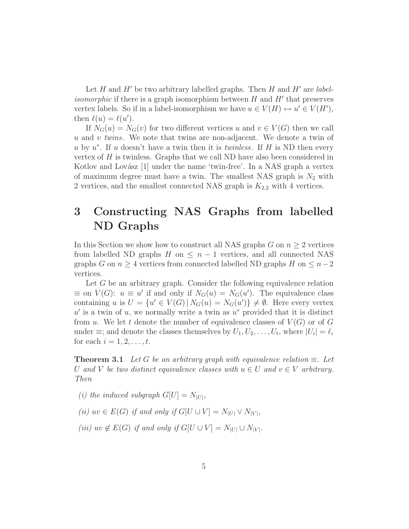Let  $H$  and  $H'$  be two arbitrary labelled graphs. Then  $H$  and  $H'$  are *labelisomorphic* if there is a graph isomorphism between  $H$  and  $H'$  that preserves vertex labels. So if in a label-isomorphism we have  $u \in V(H) \leftrightarrow u' \in V(H')$ , then  $\ell(u) = \ell(u')$ .

If  $N_G(u) = N_G(v)$  for two different vertices u and  $v \in V(G)$  then we call u and v *twins*. We note that twins are non-adjacent. We denote a twin of u by u<sup>∗</sup>. If u doesn't have a twin then it is *twinless*. If H is ND then every vertex of  $H$  is twinless. Graphs that we call ND have also been considered in Kotlov and Lovász  $[1]$  under the name 'twin-free'. In a NAS graph a vertex of maximum degree must have a twin. The smallest NAS graph is  $N_2$  with 2 vertices, and the smallest connected NAS graph is  $K_{2,2}$  with 4 vertices.

## **3 Constructing NAS Graphs from labelled ND Graphs**

In this Section we show how to construct all NAS graphs G on  $n \geq 2$  vertices from labelled ND graphs H on  $\leq n-1$  vertices, and all connected NAS graphs G on  $n \geq 4$  vertices from connected labelled ND graphs H on  $\leq n-2$ vertices.

Let G be an arbitrary graph. Consider the following equivalence relation  $\equiv$  on  $V(G)$ :  $u \equiv u'$  if and only if  $N_G(u) = N_G(u')$ . The equivalence class containing u is  $U = \{u' \in V(G) | N_G(u) = N_G(u')\} \neq \emptyset$ . Here every vertex  $u'$  is a twin of u, we normally write a twin as  $u^*$  provided that it is distinct from u. We let t denote the number of equivalence classes of  $V(G)$  or of G under  $\equiv$ ; and denote the classes themselves by  $U_1, U_2, \ldots, U_t$ , where  $|U_i| = \ell_i$ for each  $i = 1, 2, \ldots, t$ .

**Theorem 3.1** *Let* G *be an arbitrary graph with equivalence relation*  $\equiv$ *. Let* U and V be two distinct equivalence classes with  $u \in U$  and  $v \in V$  arbitrary. *Then*

- *(i)* the induced subgraph  $G[U] = N_{|U|}$ ,
- *(ii)*  $uv \in E(G)$  *if and only if*  $G[U \cup V] = N_{|U|} \vee N_{|V|}$ *,*
- *(iii)*  $uv \notin E(G)$  *if and only if*  $G[U \cup V] = N_{|U|} \cup N_{|V|}$ *.*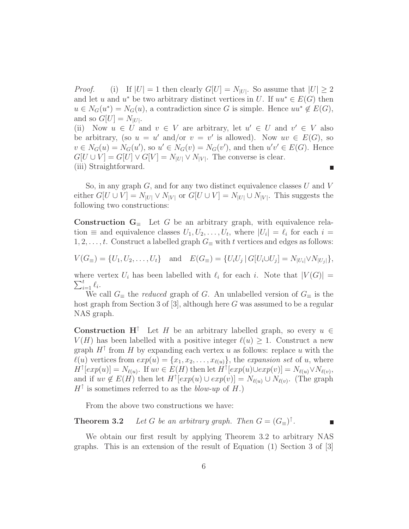*Proof.* (i) If  $|U| = 1$  then clearly  $G[U] = N_{|U|}$ . So assume that  $|U| \geq 2$ and let u and u<sup>\*</sup> be two arbitrary distinct vertices in U. If  $uu^* \in E(G)$  then  $u \in N_G(u^*) = N_G(u)$ , a contradiction since G is simple. Hence  $uu^* \notin E(G)$ , and so  $G[U] = N_{|U|}$ .

(ii) Now  $u \in U$  and  $v \in V$  are arbitrary, let  $u' \in U$  and  $v' \in V$  also be arbitrary, (so  $u = u'$  and/or  $v = v'$  is allowed). Now  $uv \in E(G)$ , so  $v \in N_G(u) = N_G(u')$ , so  $u' \in N_G(v) = N_G(v')$ , and then  $u'v' \in E(G)$ . Hence  $G[U \cup V] = G[U] \vee G[V] = N_{|U|} \vee N_{|V|}$ . The converse is clear. (iii) Straightforward. г

So, in any graph  $G$ , and for any two distinct equivalence classes U and V either  $G[U \cup V] = N_{|U|} \vee N_{|V|}$  or  $G[U \cup V] = N_{|U|} \cup N_{|V|}$ . This suggests the following two constructions:

**Construction**  $G_{\equiv}$  Let G be an arbitrary graph, with equivalence relation  $\equiv$  and equivalence classes  $U_1, U_2, \ldots, U_t$ , where  $|U_i| = \ell_i$  for each  $i =$  $1, 2, \ldots, t$ . Construct a labelled graph  $G_\equiv$  with t vertices and edges as follows:

$$
V(G_{\equiv}) = \{U_1, U_2, \dots, U_t\} \text{ and } E(G_{\equiv}) = \{U_i U_j | G[U_i \cup U_j] = N_{|U_i|} \vee N_{|U_j|}\},\
$$

 $\sum_{i=1}^t \ell_i$ . where vertex  $U_i$  has been labelled with  $\ell_i$  for each i. Note that  $|V(G)| =$ 

We call  $G_\equiv$  the *reduced* graph of G. An unlabelled version of  $G_\equiv$  is the host graph from Section 3 of  $[3]$ , although here G was assumed to be a regular NAS graph.

**Construction H**<sup>↑</sup> Let H be an arbitrary labelled graph, so every  $u \in$  $V(H)$  has been labelled with a positive integer  $\ell(u) \geq 1$ . Construct a new graph  $H^{\uparrow}$  from H by expanding each vertex u as follows: replace u with the  $\ell(u)$  vertices from  $exp(u) = {x_1, x_2, \ldots, x_{\ell(u)}}$ , the *expansion set* of u, where  $H^{\uparrow}[exp(u)] = N_{\ell(u)}$ . If  $uv \in E(H)$  then let  $H^{\uparrow}[exp(u) \cup exp(v)] = N_{\ell(u)} \vee N_{\ell(v)}$ , and if  $uv \notin E(H)$  then let  $H^{\dagger}[exp(u) \cup exp(v)] = N_{\ell(u)} \cup N_{\ell(v)}$ . (The graph  $H^{\uparrow}$  is sometimes referred to as the *blow-up* of H.)

From the above two constructions we have:

**Theorem 3.2** *Let* G *be an arbitrary graph. Then*  $G = (G_{\equiv})^{\uparrow}$ .

We obtain our first result by applying Theorem 3.2 to arbitrary NAS graphs. This is an extension of the result of Equation (1) Section 3 of [3]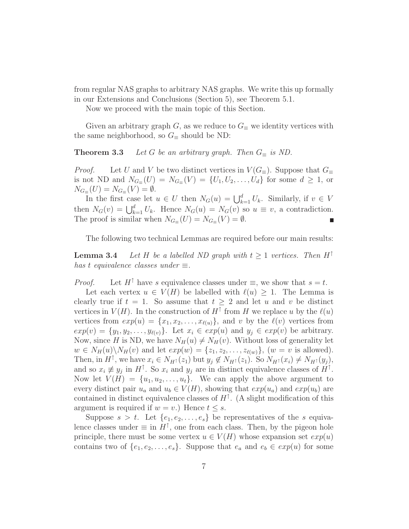from regular NAS graphs to arbitrary NAS graphs. We write this up formally in our Extensions and Conclusions (Section 5), see Theorem 5.1.

Now we proceed with the main topic of this Section.

Given an arbitrary graph G, as we reduce to  $G_\equiv$  we identity vertices with the same neighborhood, so  $G_\equiv$  should be ND:

**Theorem 3.3** *Let* G *be an arbitrary graph. Then*  $G_{\equiv}$  *is ND.* 

*Proof.* Let U and V be two distinct vertices in  $V(G_$ ≡). Suppose that  $G_$ is not ND and  $N_{G_{\equiv}}(U) = N_{G_{\equiv}}(V) = \{U_1, U_2, \ldots, U_d\}$  for some  $d \geq 1$ , or  $N_{G_{\equiv}}(U) = N_{G_{\equiv}}(V) = \emptyset.$ 

In the first case let  $u \in U$  then  $N_G(u) = \bigcup_{k=1}^d U_k$ . Similarly, if  $v \in V$ then  $N_G(v) = \bigcup_{k=1}^d U_k$ . Hence  $N_G(u) = N_G(v)$  so  $u \equiv v$ , a contradiction. The proof is similar when  $N_{G_{\equiv}}(U) = N_{G_{\equiv}}(V) = \emptyset$ .

The following two technical Lemmas are required before our main results:

**Lemma 3.4** *Let* H *be a labelled ND graph with*  $t \geq 1$  *vertices. Then*  $H^{\uparrow}$ *has* t *equivalence classes under*  $\equiv$ *.* 

*Proof.* Let  $H^{\uparrow}$  have s equivalence classes under  $\equiv$ , we show that  $s = t$ .

Let each vertex  $u \in V(H)$  be labelled with  $\ell(u) \geq 1$ . The Lemma is clearly true if  $t = 1$ . So assume that  $t > 2$  and let u and v be distinct vertices in  $V(H)$ . In the construction of  $H^{\uparrow}$  from H we replace u by the  $\ell(u)$ vertices from  $exp(u) = \{x_1, x_2, \ldots, x_{\ell(u)}\}$ , and v by the  $\ell(v)$  vertices from  $exp(v) = \{y_1, y_2, \ldots, y_{\ell(v)}\}.$  Let  $x_i \in exp(u)$  and  $y_j \in exp(v)$  be arbitrary. Now, since H is ND, we have  $N_H(u) \neq N_H(v)$ . Without loss of generality let  $w \in N_H(u) \backslash N_H(v)$  and let  $exp(w) = \{z_1, z_2, \ldots, z_{\ell(w)}\}, (w = v \text{ is allowed}).$ Then, in  $H^{\uparrow}$ , we have  $x_i \in N_{H^{\uparrow}}(z_1)$  but  $y_j \notin N_{H^{\uparrow}}(z_1)$ . So  $N_{H^{\uparrow}}(x_i) \neq N_{H^{\uparrow}}(y_j)$ , and so  $x_i \neq y_j$  in  $H^{\uparrow}$ . So  $x_i$  and  $y_j$  are in distinct equivalence classes of  $H^{\uparrow}$ . Now let  $V(H) = \{u_1, u_2, \ldots, u_t\}$ . We can apply the above argument to every distinct pair  $u_a$  and  $u_b \in V(H)$ , showing that  $exp(u_a)$  and  $exp(u_b)$  are contained in distinct equivalence classes of  $H^{\uparrow}$ . (A slight modification of this argument is required if  $w = v$ .) Hence  $t \leq s$ .

Suppose  $s > t$ . Let  $\{e_1, e_2, \ldots, e_s\}$  be representatives of the s equivalence classes under  $\equiv$  in  $H^{\uparrow}$ , one from each class. Then, by the pigeon hole principle, there must be some vertex  $u \in V(H)$  whose expansion set  $exp(u)$ contains two of  $\{e_1, e_2, \ldots, e_s\}$ . Suppose that  $e_a$  and  $e_b \in exp(u)$  for some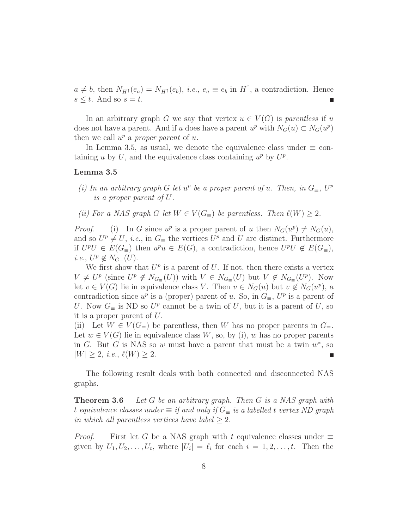$a \neq b$ , then  $N_{H} \uparrow (e_a) = N_{H} \uparrow (e_b)$ , *i.e.*,  $e_a \equiv e_b$  in  $H \uparrow$ , a contradiction. Hence  $s \leq t$ . And so  $s = t$ .

In an arbitrary graph G we say that vertex  $u \in V(G)$  is *parentless* if u does not have a parent. And if u does have a parent  $u^p$  with  $N_G(u) \subset N_G(u^p)$ then we call  $u^p$  a *proper parent* of u.

In Lemma 3.5, as usual, we denote the equivalence class under  $\equiv$  containing u by U, and the equivalence class containing  $u^p$  by  $U^p$ .

#### **Lemma 3.5**

- *(i)* In an arbitrary graph G let  $u^p$  be a proper parent of u. Then, in  $G_{\equiv}$ ,  $U^p$ *is a proper parent of* U*.*
- *(ii)* For a NAS graph G let  $W \in V(G_{\equiv})$  be parentless. Then  $\ell(W) > 2$ .

*Proof.* (i) In G since  $u^p$  is a proper parent of u then  $N_G(u^p) \neq N_G(u)$ , and so  $U^p \neq U$ , *i.e.*, in  $G_{\equiv}$  the vertices  $U^p$  and U are distinct. Furthermore if  $U^pU \in E(G_{\equiv})$  then  $u^pu \in E(G)$ , a contradiction, hence  $U^pU \notin E(G_{\equiv})$ , *i.e.*,  $U^p \notin N_{G}$   $(U)$ .

We first show that  $U^p$  is a parent of U. If not, then there exists a vertex  $V \neq U^p$  (since  $U^p \notin N_{G_{\equiv}}(U)$ ) with  $V \in N_{G_{\equiv}}(U)$  but  $V \notin N_{G_{\equiv}}(U^p)$ . Now let  $v \in V(G)$  lie in equivalence class V. Then  $v \in N_G(u)$  but  $v \notin N_G(u^p)$ , a contradiction since  $u^p$  is a (proper) parent of u. So, in  $G_\equiv$ ,  $U^p$  is a parent of U. Now  $G_\equiv$  is ND so  $U^p$  cannot be a twin of U, but it is a parent of U, so it is a proper parent of U.

(ii) Let  $W \in V(G_{\equiv})$  be parentless, then W has no proper parents in  $G_{\equiv}$ . Let  $w \in V(G)$  lie in equivalence class W, so, by (i), w has no proper parents in G. But G is NAS so w must have a parent that must be a twin  $w^*$ , so  $|W| \geq 2$ , *i.e.*,  $\ell(W) \geq 2$ . г

The following result deals with both connected and disconnected NAS graphs.

**Theorem 3.6** *Let* G *be an arbitrary graph. Then* G *is a NAS graph with* t equivalence classes under  $\equiv$  *if and only if*  $G_{\equiv}$  *is a labelled t vertex ND graph in which all parentless vertices have label*  $\geq 2$ *.* 

*Proof.* First let G be a NAS graph with t equivalence classes under  $\equiv$ given by  $U_1, U_2, \ldots, U_t$ , where  $|U_i| = \ell_i$  for each  $i = 1, 2, \ldots, t$ . Then the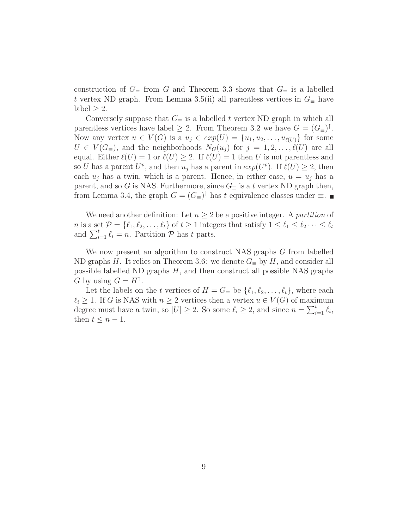construction of  $G_\equiv$  from G and Theorem 3.3 shows that  $G_\equiv$  is a labelled t vertex ND graph. From Lemma 3.5(ii) all parentless vertices in  $G_{\equiv}$  have label  $\geq 2$ .

Conversely suppose that  $G_\equiv$  is a labelled t vertex ND graph in which all parentless vertices have label  $\geq 2$ . From Theorem 3.2 we have  $G = (G_{\equiv})^{\uparrow}$ . Now any vertex  $u \in V(G)$  is a  $u_j \in exp(U) = \{u_1, u_2, \ldots, u_{\ell(U)}\}$  for some  $U \in V(G_{\equiv})$ , and the neighborhoods  $N_G(u_j)$  for  $j = 1, 2, \ldots, \ell(U)$  are all equal. Either  $\ell(U) = 1$  or  $\ell(U) \geq 2$ . If  $\ell(U) = 1$  then U is not parentless and so U has a parent  $U^p$ , and then  $u_j$  has a parent in  $exp(U^p)$ . If  $\ell(U) \geq 2$ , then each  $u_i$  has a twin, which is a parent. Hence, in either case,  $u = u_i$  has a parent, and so G is NAS. Furthermore, since  $G_{\equiv}$  is a t vertex ND graph then, from Lemma 3.4, the graph  $G = (G_{\equiv})^{\uparrow}$  has t equivalence classes under  $\equiv$ . ■

We need another definition: Let  $n \geq 2$  be a positive integer. A *partition* of n is a set  $\mathcal{P} = \{\ell_1, \ell_2, \ldots, \ell_t\}$  of  $t \geq 1$  integers that satisfy  $1 \leq \ell_1 \leq \ell_2 \cdots \leq \ell_t$ and  $\sum_{i=1}^t \ell_i = n$ . Partition  $\mathcal{P}$  has t parts.

We now present an algorithm to construct NAS graphs G from labelled ND graphs H. It relies on Theorem 3.6: we denote  $G_{\equiv}$  by H, and consider all possible labelled ND graphs  $H$ , and then construct all possible NAS graphs G by using  $G = H^{\uparrow}$ .

Let the labels on the t vertices of  $H = G_{\equiv}$  be  $\{\ell_1, \ell_2, \ldots, \ell_t\}$ , where each  $\ell_i \geq 1$ . If G is NAS with  $n \geq 2$  vertices then a vertex  $u \in V(G)$  of maximum degree must have a twin, so  $|U| \geq 2$ . So some  $\ell_i \geq 2$ , and since  $n = \sum_{i=1}^t \ell_i$ , then  $t \leq n-1$ .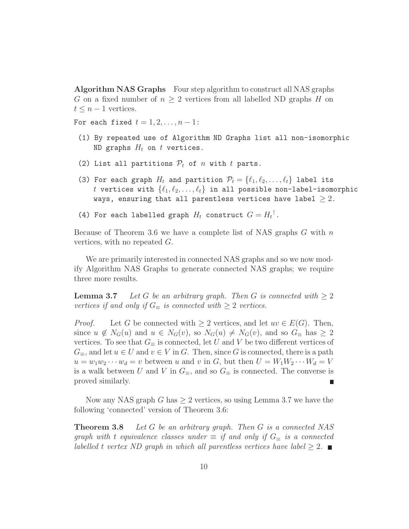**Algorithm NAS Graphs** Four step algorithm to construct all NAS graphs G on a fixed number of  $n \geq 2$  vertices from all labelled ND graphs H on  $t \leq n-1$  vertices.

For each fixed  $t = 1, 2, \ldots, n - 1$ :

- (1) By repeated use of Algorithm ND Graphs list all non-isomorphic ND graphs  $H_t$  on t vertices.
- (2) List all partitions  $P_t$  of n with t parts.
- (3) For each graph  $H_t$  and partition  $\mathcal{P}_t = \{ \ell_1, \ell_2, \ldots, \ell_t \}$  label its t vertices with  $\{\ell_1, \ell_2, \ldots, \ell_t\}$  in all possible non-label-isomorphic ways, ensuring that all parentless vertices have label  $\geq 2$ .
- (4) For each labelled graph  $H_t$  construct  $G = H_t$ <sup>†</sup>.

Because of Theorem 3.6 we have a complete list of NAS graphs  $G$  with  $n$ vertices, with no repeated G.

We are primarily interested in connected NAS graphs and so we now modify Algorithm NAS Graphs to generate connected NAS graphs; we require three more results.

**Lemma 3.7** *Let* G *be an arbitrary graph. Then* G *is connected with*  $\geq 2$ *vertices if and only if*  $G_{\equiv}$  *is connected with*  $\geq 2$  *vertices.* 

*Proof.* Let G be connected with  $\geq 2$  vertices, and let  $uv \in E(G)$ . Then, since  $u \notin N_G(u)$  and  $u \in N_G(v)$ , so  $N_G(u) \neq N_G(v)$ , and so  $G_{\equiv}$  has  $\geq 2$ vertices. To see that  $G_\equiv$  is connected, let U and V be two different vertices of  $G_{\equiv}$ , and let  $u \in U$  and  $v \in V$  in  $G$ . Then, since  $G$  is connected, there is a path  $u = w_1w_2\cdots w_d = v$  between u and v in G, but then  $U = W_1W_2\cdots W_d = V$ is a walk between U and V in  $G_{\equiv}$ , and so  $G_{\equiv}$  is connected. The converse is proved similarly. г

Now any NAS graph G has  $\geq 2$  vertices, so using Lemma 3.7 we have the following 'connected' version of Theorem 3.6:

**Theorem 3.8** *Let* G *be an arbitrary graph. Then* G *is a connected NAS graph with* t *equivalence classes under*  $\equiv$  *if and only if*  $G_{\equiv}$  *is a connected labelled* t *vertex ND* graph in which all parentless vertices have label  $\geq 2$ .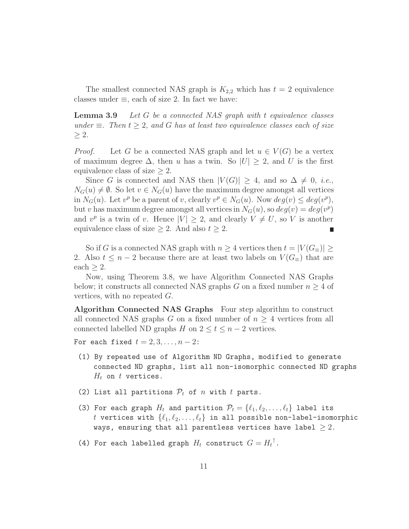The smallest connected NAS graph is  $K_{2,2}$  which has  $t = 2$  equivalence classes under  $\equiv$ , each of size 2. In fact we have:

**Lemma 3.9** *Let* G *be a connected NAS graph with* t *equivalence classes under*  $\equiv$  *. Then*  $t \geq 2$ *, and* G *has at least two equivalence classes each of size* ≥ 2*.*

*Proof.* Let G be a connected NAS graph and let  $u \in V(G)$  be a vertex of maximum degree  $\Delta$ , then u has a twin. So  $|U| \geq 2$ , and U is the first equivalence class of size  $\geq 2$ .

Since G is connected and NAS then  $|V(G)| \geq 4$ , and so  $\Delta \neq 0$ , *i.e.*,  $N_G(u) \neq \emptyset$ . So let  $v \in N_G(u)$  have the maximum degree amongst all vertices in  $N_G(u)$ . Let  $v^p$  be a parent of v, clearly  $v^p \in N_G(u)$ . Now  $deg(v) \leq deg(v^p)$ , but v has maximum degree amongst all vertices in  $N_G(u)$ , so  $deg(v) = deg(v^p)$ and  $v^p$  is a twin of v. Hence  $|V| \geq 2$ , and clearly  $V \neq U$ , so V is another equivalence class of size  $\geq 2$ . And also  $t \geq 2$ .

So if G is a connected NAS graph with  $n \geq 4$  vertices then  $t = |V(G_{\equiv})| \geq 1$ 2. Also  $t \leq n-2$  because there are at least two labels on  $V(G_{\equiv})$  that are  $each > 2.$ 

Now, using Theorem 3.8, we have Algorithm Connected NAS Graphs below; it constructs all connected NAS graphs G on a fixed number  $n \geq 4$  of vertices, with no repeated G.

**Algorithm Connected NAS Graphs** Four step algorithm to construct all connected NAS graphs G on a fixed number of  $n \geq 4$  vertices from all connected labelled ND graphs H on  $2 \le t \le n-2$  vertices.

For each fixed  $t = 2, 3, \ldots, n - 2$ :

- (1) By repeated use of Algorithm ND Graphs, modified to generate connected ND graphs, list all non-isomorphic connected ND graphs  $H_t$  on  $t$  vertices.
- (2) List all partitions  $P_t$  of n with t parts.
- (3) For each graph  $H_t$  and partition  $\mathcal{P}_t = \{\ell_1, \ell_2, \ldots, \ell_t\}$  label its t vertices with  $\{\ell_1, \ell_2, \ldots, \ell_t\}$  in all possible non-label-isomorphic ways, ensuring that all parentless vertices have label  $\geq 2$ .
- (4) For each labelled graph  $H_t$  construct  $G = H_t$ <sup>†</sup>.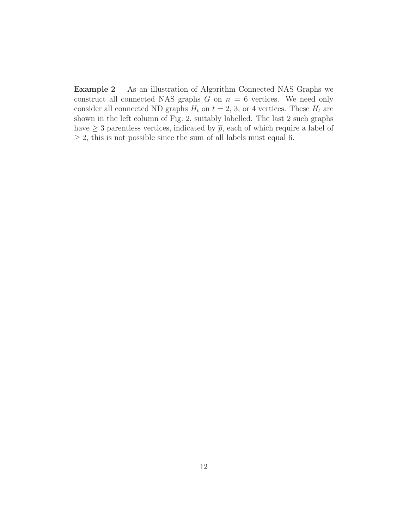**Example 2** As an illustration of Algorithm Connected NAS Graphs we construct all connected NAS graphs  $G$  on  $n = 6$  vertices. We need only consider all connected ND graphs  $H_t$  on  $t = 2, 3$ , or 4 vertices. These  $H_t$  are shown in the left column of Fig. 2, suitably labelled. The last 2 such graphs have  $\geq 3$  parentless vertices, indicated by  $\overline{p}$ , each of which require a label of  $\geq$  2, this is not possible since the sum of all labels must equal 6.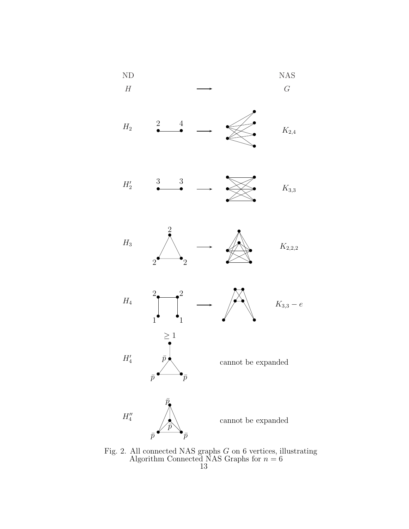

Fig. 2. All connected NAS graphs G on 6 vertices, illustrating Algorithm Connected NAS Graphs for  $n = 6$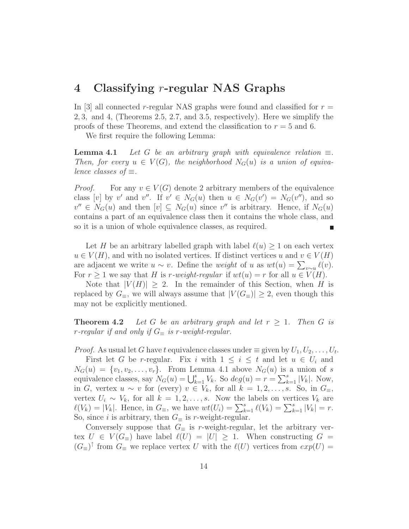## **4 Classifying** r**-regular NAS Graphs**

In [3] all connected r-regular NAS graphs were found and classified for  $r =$ 2, 3, and 4, (Theorems 2.5, 2.7, and 3.5, respectively). Here we simplify the proofs of these Theorems, and extend the classification to  $r = 5$  and 6.

We first require the following Lemma:

**Lemma 4.1** *Let* G *be an arbitrary graph with equivalence relation*  $\equiv$ *. Then, for every*  $u \in V(G)$ *, the neighborhood*  $N_G(u)$  *is a union of equivalence classes of* ≡*.*

*Proof.* For any  $v \in V(G)$  denote 2 arbitrary members of the equivalence class [v] by v' and v''. If  $v' \in N_G(u)$  then  $u \in N_G(v') = N_G(v'')$ , and so  $v'' \in N_G(u)$  and then  $[v] \subseteq N_G(u)$  since  $v''$  is arbitrary. Hence, if  $N_G(u)$ contains a part of an equivalence class then it contains the whole class, and so it is a union of whole equivalence classes, as required.

Let H be an arbitrary labelled graph with label  $\ell(u) \geq 1$  on each vertex  $u \in V(H)$ , and with no isolated vertices. If distinct vertices u and  $v \in V(H)$ are adjacent we write  $u \sim v$ . Define the *weight* of u as  $wt(u) = \sum_{v \sim u} \ell(v)$ . For  $r \geq 1$  we say that H is r-weight-regular if  $wt(u) = r$  for all  $u \in V(H)$ .

Note that  $|V(H)| \geq 2$ . In the remainder of this Section, when H is replaced by  $G_{\equiv}$ , we will always assume that  $|V(G_{\equiv})| \geq 2$ , even though this may not be explicitly mentioned.

**Theorem 4.2** *Let* G *be an arbitrary graph and let*  $r \geq 1$ *. Then* G *is r*-regular if and only if  $G_{\equiv}$  is r-weight-regular.

*Proof.* As usual let G have t equivalence classes under  $\equiv$  given by  $U_1, U_2, \ldots, U_t$ .

First let G be r-regular. Fix i with  $1 \leq i \leq t$  and let  $u \in U_i$  and  $N_G(u) = \{v_1, v_2, \ldots, v_r\}.$  From Lemma 4.1 above  $N_G(u)$  is a union of s equivalence classes, say  $N_G(u) = \bigcup_{k=1}^s V_k$ . So  $deg(u) = r = \sum_{k=1}^s |V_k|$ . Now, in G, vertex  $u \sim v$  for (every)  $v \in V_k$ , for all  $k = 1, 2, \ldots, s$ . So, in  $G_{\equiv}$ , vertex  $U_i \sim V_k$ , for all  $k = 1, 2, ..., s$ . Now the labels on vertices  $V_k$  are  $\ell(V_k) = |V_k|$ . Hence, in  $G_{\equiv}$ , we have  $wt(U_i) = \sum_{k=1}^s \ell(V_k) = \sum_{k=1}^s |V_k| = r$ . So, since *i* is arbitrary, then  $G_\equiv$  is *r*-weight-regular.

Conversely suppose that  $G_{\equiv}$  is r-weight-regular, let the arbitrary vertex  $U \in V(G_{\equiv})$  have label  $\ell(U) = |U| \geq 1$ . When constructing  $G =$  $(G_$ <sup> $\uparrow$ </sup> from  $G_$  we replace vertex U with the  $\ell(U)$  vertices from  $exp(U)$  =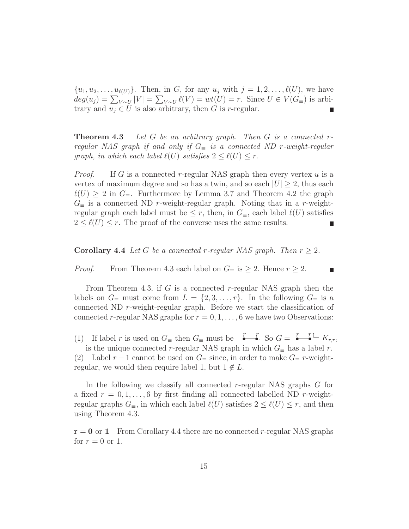$\{u_1, u_2, \ldots, u_{\ell(U)}\}.$  Then, in G, for any  $u_j$  with  $j = 1, 2, \ldots, \ell(U)$ , we have  $deg(u_j) = \sum_{V \sim U} |V| = \sum_{V \sim U} \ell(V) = wt(U) = r$ . Since  $U \in V(G_{\equiv})$  is arbitrary and  $u_j \in U$  is also arbitrary, then G is r-regular.

**Theorem 4.3** *Let* G *be an arbitrary graph. Then* G *is a connected* r*regular NAS graph if and only if*  $G$ <sub>≡</sub> *is a connected ND r-weight-regular graph, in which each label*  $\ell(U)$  *satisfies*  $2 \leq \ell(U) \leq r$ .

*Proof.* If G is a connected r-regular NAS graph then every vertex  $u$  is a vertex of maximum degree and so has a twin, and so each  $|U| \geq 2$ , thus each  $\ell(U) \geq 2$  in  $G_{\equiv}$ . Furthermore by Lemma 3.7 and Theorem 4.2 the graph  $G_{\equiv}$  is a connected ND r-weight-regular graph. Noting that in a r-weightregular graph each label must be  $\leq r$ , then, in  $G_{\equiv}$ , each label  $\ell(U)$  satisfies  $2 \leq \ell(U) \leq r$ . The proof of the converse uses the same results.

**Corollary 4.4** *Let* G *be a connected r-regular NAS graph. Then*  $r > 2$ *.* 

*Proof.* From Theorem 4.3 each label on  $G_{\equiv}$  is  $\geq 2$ . Hence  $r \geq 2$ .

From Theorem 4.3, if G is a connected r-regular NAS graph then the labels on  $G_\equiv$  must come from  $L = \{2, 3, \ldots, r\}$ . In the following  $G_\equiv$  is a connected ND r-weight-regular graph. Before we start the classification of connected r-regular NAS graphs for  $r = 0, 1, \ldots, 6$  we have two Observations:

(1) If label r is used on  $G_{\equiv}$  then  $G_{\equiv}$  must be  $\overline{f}_{\equiv}$   $\overline{f}_{\equiv}$  So  $G = \overline{f}_{\equiv}$   $\overline{f}_{\equiv}$   $K_{r,r}$ , is the unique connected r-regular NAS graph in which  $G_\equiv$  has a label r.

(2) Label r – 1 cannot be used on  $G_\equiv$  since, in order to make  $G_\equiv$  r-weightregular, we would then require label 1, but  $1 \notin L$ .

In the following we classify all connected r-regular NAS graphs G for a fixed  $r = 0, 1, \ldots, 6$  by first finding all connected labelled ND r-weightregular graphs  $G_{\equiv}$ , in which each label  $\ell(U)$  satisfies  $2 \leq \ell(U) \leq r$ , and then using Theorem 4.3.

 $r = 0$  or 1 From Corollary 4.4 there are no connected r-regular NAS graphs for  $r = 0$  or 1.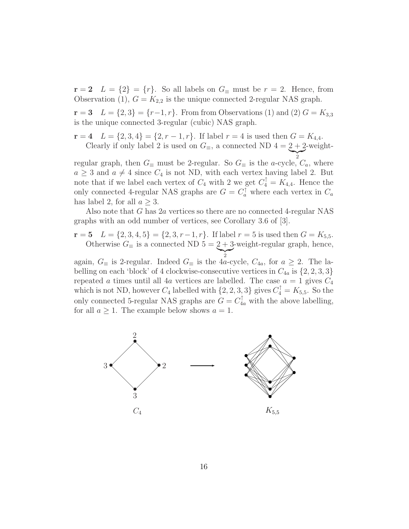$\mathbf{r} = 2 \quad L = \{2\} = \{r\}.$  So all labels on  $G_{\equiv}$  must be  $r = 2$ . Hence, from Observation (1),  $G = K_{2,2}$  is the unique connected 2-regular NAS graph.

 $\mathbf{r} = 3$   $L = \{2, 3\} = \{r-1, r\}$ . From from Observations (1) and (2)  $G = K_{3,3}$ is the unique connected 3-regular (cubic) NAS graph.

**r** = **4**  $L = \{2, 3, 4\} = \{2, r - 1, r\}$ . If label  $r = 4$  is used then  $G = K_{4,4}$ . Clearly if only label 2 is used on  $G_{\equiv}$ , a connected ND 4 =  $2 + 2$ -weight-

2 regular graph, then  $G_{\equiv}$  must be 2-regular. So  $G_{\equiv}$  is the *a*-cycle,  $C_a$ , where  $a \geq 3$  and  $a \neq 4$  since  $C_4$  is not ND, with each vertex having label 2. But note that if we label each vertex of  $C_4$  with 2 we get  $C_4^{\dagger} = K_{4,4}$ . Hence the only connected 4-regular NAS graphs are  $G = C_a^{\dagger}$  where each vertex in  $C_a$ has label 2, for all  $a \geq 3$ .

Also note that G has 2a vertices so there are no connected 4-regular NAS graphs with an odd number of vertices, see Corollary 3.6 of [3].

**r** = **5**  $L = \{2, 3, 4, 5\} = \{2, 3, r - 1, r\}$ . If label  $r = 5$  is used then  $G = K_{5,5}$ . Otherwise  $G_{\equiv}$  is a connected ND  $5 = \underbrace{2+3}_{2}$ -weight-regular graph, hence,

again,  $G_{\equiv}$  is 2-regular. Indeed  $G_{\equiv}$  is the 4a-cycle,  $C_{4a}$ , for  $a \geq 2$ . The labelling on each 'block' of 4 clockwise-consecutive vertices in  $C_{4a}$  is  $\{2, 2, 3, 3\}$ repeated a times until all 4a vertices are labelled. The case  $a = 1$  gives  $C_4$ which is not ND, however  $C_4$  labelled with  $\{2, 2, 3, 3\}$  gives  $C_4^{\uparrow} = K_{5,5}$ . So the only connected 5-regular NAS graphs are  $G = C_{4a}^{\uparrow}$  with the above labelling, for all  $a \geq 1$ . The example below shows  $a = 1$ .

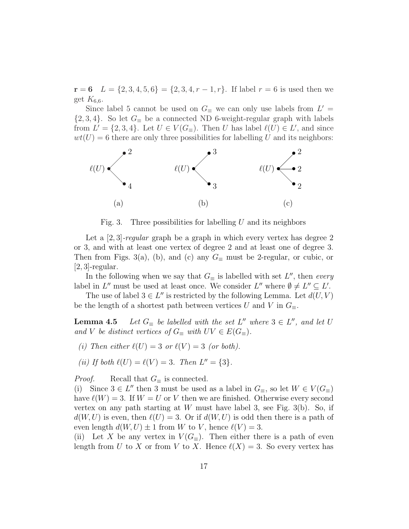**r** = **6** L = {2, 3, 4, 5, 6} = {2, 3, 4, r − 1, r}. If label r = 6 is used then we get  $K_{6,6}$ .

Since label 5 cannot be used on  $G_\equiv$  we can only use labels from  $L' =$  $\{2,3,4\}$ . So let  $G_{\equiv}$  be a connected ND 6-weight-regular graph with labels from  $L' = \{2, 3, 4\}$ . Let  $U \in V(G_{\equiv})$ . Then U has label  $\ell(U) \in L'$ , and since  $wt(U) = 6$  there are only three possibilities for labelling U and its neighbors:



Fig. 3. Three possibilities for labelling  $U$  and its neighbors

Let a [2, 3]*-regular* graph be a graph in which every vertex has degree 2 or 3, and with at least one vertex of degree 2 and at least one of degree 3. Then from Figs. 3(a), (b), and (c) any  $G_\equiv$  must be 2-regular, or cubic, or  $[2, 3]$ -regular.

In the following when we say that  $G_\equiv$  is labelled with set  $L''$ , then *every* label in L'' must be used at least once. We consider L'' where  $\emptyset \neq L'' \subseteq L'$ .

The use of label  $3 \in L''$  is restricted by the following Lemma. Let  $d(U, V)$ be the length of a shortest path between vertices U and V in  $G_$ 

**Lemma 4.5** *Let*  $G_{\equiv}$  *be labelled with the set*  $L''$  *where*  $3 \in L''$ *, and let* U *and V be distinct vertices of*  $G_{\equiv}$  *with*  $UV \in E(G_{\equiv})$ *.* 

*(i)* Then either  $\ell(U)=3$  or  $\ell(V)=3$  *(or both).* 

(ii) If both 
$$
\ell(U) = \ell(V) = 3
$$
. Then  $L'' = \{3\}$ .

*Proof.* Recall that  $G_{\equiv}$  is connected.

(i) Since  $3 \in L''$  then 3 must be used as a label in  $G_{\equiv}$ , so let  $W \in V(G_{\equiv})$ have  $\ell(W) = 3$ . If  $W = U$  or V then we are finished. Otherwise every second vertex on any path starting at  $W$  must have label 3, see Fig. 3(b). So, if  $d(W, U)$  is even, then  $\ell(U) = 3$ . Or if  $d(W, U)$  is odd then there is a path of even length  $d(W, U) \pm 1$  from W to V, hence  $\ell(V) = 3$ .

(ii) Let X be any vertex in  $V(G_{\equiv})$ . Then either there is a path of even length from U to X or from V to X. Hence  $\ell(X) = 3$ . So every vertex has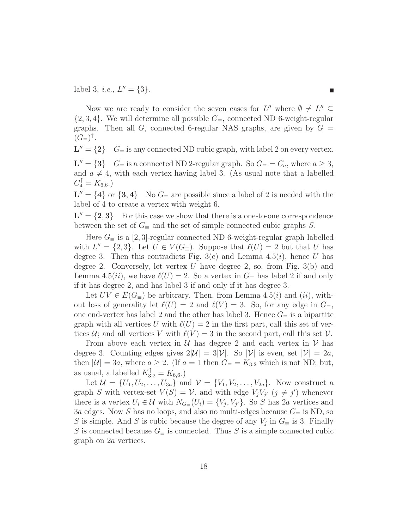label 3, *i.e.*,  $L'' = \{3\}.$ 

Now we are ready to consider the seven cases for  $L''$  where  $\emptyset \neq L'' \subseteq$  $\{2, 3, 4\}$ . We will determine all possible  $G_\equiv$ , connected ND 6-weight-regular graphs. Then all  $G$ , connected 6-regular NAS graphs, are given by  $G =$  $(G_{\equiv})^{\dagger}$ .

 $L'' = \{2\}$  G≡ is any connected ND cubic graph, with label 2 on every vertex.

 $\mathbf{L}'' = {\bf 3}$   $G_{\equiv}$  is a connected ND 2-regular graph. So  $G_{\equiv} = C_a$ , where  $a \geq 3$ , and  $a \neq 4$ , with each vertex having label 3. (As usual note that a labelled  $C_4^{\uparrow} = K_{6,6}.$ 

 $L'' = \{4\}$  or  $\{3, 4\}$  No  $G_{\equiv}$  are possible since a label of 2 is needed with the label of 4 to create a vertex with weight 6.

 $L'' = \{2, 3\}$  For this case we show that there is a one-to-one correspondence between the set of  $G$ <sub>≡</sub> and the set of simple connected cubic graphs S.

Here  $G_{\equiv}$  is a [2,3]-regular connected ND 6-weight-regular graph labelled with  $L'' = \{2, 3\}$ . Let  $U \in V(G_{\equiv})$ . Suppose that  $\ell(U) = 2$  but that U has degree 3. Then this contradicts Fig. 3(c) and Lemma 4.5(*i*), hence U has degree 2. Conversely, let vertex U have degree 2, so, from Fig.  $3(b)$  and Lemma 4.5(*ii*), we have  $\ell(U) = 2$ . So a vertex in  $G_{\equiv}$  has label 2 if and only if it has degree 2, and has label 3 if and only if it has degree 3.

Let  $UV \in E(G_{\equiv})$  be arbitrary. Then, from Lemma 4.5(*i*) and (*ii*), without loss of generality let  $\ell(U) = 2$  and  $\ell(V) = 3$ . So, for any edge in  $G_{\equiv}$ , one end-vertex has label 2 and the other has label 3. Hence  $G_{\equiv}$  is a bipartite graph with all vertices U with  $\ell(U) = 2$  in the first part, call this set of vertices U; and all vertices V with  $\ell(V) = 3$  in the second part, call this set V.

From above each vertex in  $\mathcal U$  has degree 2 and each vertex in  $\mathcal V$  has degree 3. Counting edges gives  $2|\mathcal{U}| = 3|\mathcal{V}|$ . So  $|\mathcal{V}|$  is even, set  $|\mathcal{V}| = 2a$ , then  $|\mathcal{U}| = 3a$ , where  $a \geq 2$ . (If  $a = 1$  then  $G_{\equiv} = K_{3,2}$  which is not ND; but, as usual, a labelled  $K_{3,2}^{\uparrow} = K_{6,6}$ .)

Let  $\mathcal{U} = \{U_1, U_2, \ldots, U_{3a}\}\$ and  $\mathcal{V} = \{V_1, V_2, \ldots, V_{2a}\}\$ . Now construct a graph S with vertex-set  $V(S) = V$ , and with edge  $V_j V_{j'}$   $(j \neq j')$  whenever there is a vertex  $U_i \in \mathcal{U}$  with  $N_{G_{\equiv}}(U_i) = \{V_i, V_{i'}\}$ . So S has 2a vertices and 3a edges. Now S has no loops, and also no multi-edges because  $G_{\equiv}$  is ND, so S is simple. And S is cubic because the degree of any  $V_j$  in  $G_{\equiv}$  is 3. Finally S is connected because  $G$  is connected. Thus S is a simple connected cubic graph on 2a vertices.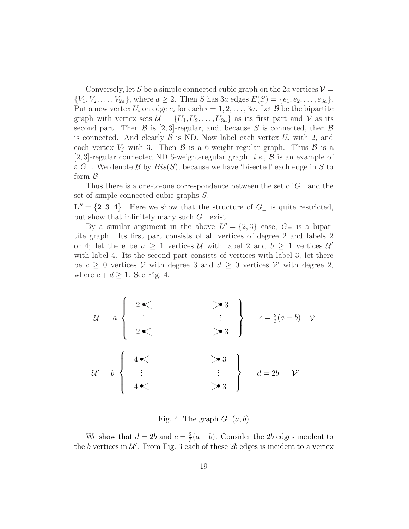Conversely, let S be a simple connected cubic graph on the 2a vertices  $\mathcal{V} =$  $\{V_1, V_2, \ldots, V_{2a}\},\$  where  $a \geq 2$ . Then S has  $3a$  edges  $E(S) = \{e_1, e_2, \ldots, e_{3a}\}.$ Put a new vertex  $U_i$  on edge  $e_i$  for each  $i = 1, 2, \ldots, 3a$ . Let  $\mathcal{B}$  be the bipartite graph with vertex sets  $\mathcal{U} = \{U_1, U_2, \ldots, U_{3a}\}$  as its first part and  $\mathcal{V}$  as its second part. Then  $\mathcal{B}$  is [2,3]-regular, and, because S is connected, then  $\mathcal{B}$ is connected. And clearly  $\beta$  is ND. Now label each vertex  $U_i$  with 2, and each vertex  $V_i$  with 3. Then  $\beta$  is a 6-weight-regular graph. Thus  $\beta$  is a [2, 3]-regular connected ND 6-weight-regular graph, *i.e.*, B is an example of a  $G_{\equiv}$ . We denote  $\mathcal{B}$  by  $Bis(S)$ , because we have 'bisected' each edge in S to form B.

Thus there is a one-to-one correspondence between the set of  $G_\equiv$  and the set of simple connected cubic graphs S.

 $\mathbf{L}'' = \{2, 3, 4\}$  Here we show that the structure of  $G_{\equiv}$  is quite restricted, but show that infinitely many such  $G_\equiv$  exist.

By a similar argument in the above  $L'' = \{2, 3\}$  case,  $G_{\equiv}$  is a bipartite graph. Its first part consists of all vertices of degree 2 and labels 2 or 4; let there be  $a \geq 1$  vertices U with label 2 and  $b \geq 1$  vertices U' with label 4. Its the second part consists of vertices with label 3; let there be  $c \geq 0$  vertices V with degree 3 and  $d \geq 0$  vertices V' with degree 2, where  $c + d \geq 1$ . See Fig. 4.

| $u$  | $a$ | $\begin{cases} 2 \leq \leq \leq \leq \leq 3 \\ \vdots \leq \leq \leq \leq 3 \end{cases}$ | $\begin{cases} 4 \leq \leq \leq \leq 3 \\ \vdots \leq \leq 3 \end{cases}$ | $c = \frac{2}{3}(a - b)$ | $v$ |
|------|-----|------------------------------------------------------------------------------------------|---------------------------------------------------------------------------|--------------------------|-----|
| $u'$ | $b$ | $\begin{cases} 4 \leq \leq \leq \leq 3 \\ \vdots \leq \leq 3 \end{cases}$                | $d = 2b$                                                                  | $v'$                     |     |

Fig. 4. The graph  $G_{\equiv}(a, b)$ 

We show that  $d = 2b$  and  $c = \frac{2}{3}(a - b)$ . Consider the 2b edges incident to the b vertices in  $\mathcal{U}'$ . From Fig. 3 each of these 2b edges is incident to a vertex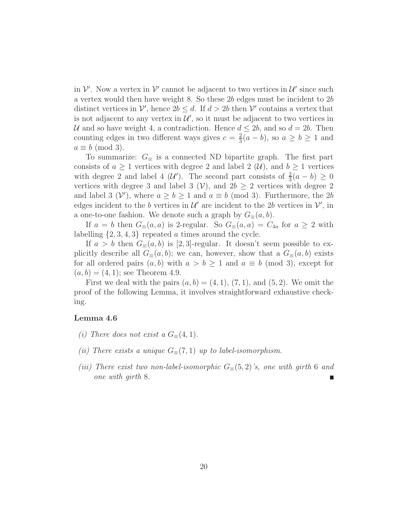in  $\mathcal V'$ . Now a vertex in  $\mathcal V'$  cannot be adjacent to two vertices in  $\mathcal U'$  since such a vertex would then have weight 8. So these 2b edges must be incident to 2b distinct vertices in  $\mathcal{V}'$ , hence  $2b \leq d$ . If  $d > 2b$  then  $\mathcal{V}'$  contains a vertex that is not adjacent to any vertex in  $\mathcal{U}'$ , so it must be adjacent to two vertices in U and so have weight 4, a contradiction. Hence  $d \leq 2b$ , and so  $d = 2b$ . Then counting edges in two different ways gives  $c = \frac{2}{3}(a - b)$ , so  $a \ge b \ge 1$  and  $a \equiv b \pmod{3}$ .

To summarize:  $G_\equiv$  is a connected ND bipartite graph. The first part consists of  $a \geq 1$  vertices with degree 2 and label 2  $(\mathcal{U})$ , and  $b \geq 1$  vertices with degree 2 and label 4 (U'). The second part consists of  $\frac{2}{3}(a - b) \ge 0$ vertices with degree 3 and label 3  $(V)$ , and  $2b \ge 2$  vertices with degree 2 and label 3 (V'), where  $a \ge b \ge 1$  and  $a \equiv b \pmod{3}$ . Furthermore, the 2b edges incident to the b vertices in  $\mathcal{U}'$  are incident to the 2b vertices in  $\mathcal{V}'$ , in a one-to-one fashion. We denote such a graph by  $G_{\equiv}(a, b)$ .

If  $a = b$  then  $G_{\equiv}(a, a)$  is 2-regular. So  $G_{\equiv}(a, a) = C_{4a}$  for  $a \geq 2$  with labelling  $\{2, 3, 4, 3\}$  repeated a times around the cycle.

If  $a > b$  then  $G_=(a, b)$  is [2,3]-regular. It doesn't seem possible to explicitly describe all  $G_{\equiv}(a, b)$ ; we can, however, show that a  $G_{\equiv}(a, b)$  exists for all ordered pairs  $(a, b)$  with  $a > b \ge 1$  and  $a \equiv b \pmod{3}$ , except for  $(a, b) = (4, 1)$ ; see Theorem 4.9.

First we deal with the pairs  $(a, b) = (4, 1), (7, 1),$  and  $(5, 2)$ . We omit the proof of the following Lemma, it involves straightforward exhaustive checking.

#### **Lemma 4.6**

- *(i)* There does not exist a  $G_{\equiv}(4,1)$ .
- *(ii) There exists a unique*  $G_{\equiv}(7,1)$  *up to label-isomorphism.*
- *(iii)* There exist two non-label-isomorphic  $G_{\equiv}(5,2)$ 's, one with girth 6 and *one with girth* 8*.*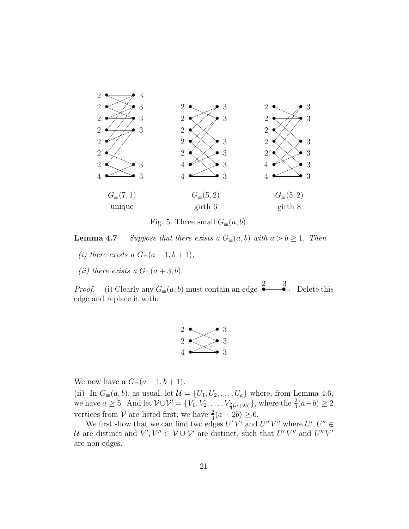

Fig. 5. Three small  $G_{\equiv}(a, b)$ 

**Lemma 4.7** *Suppose that there exists a*  $G_{\equiv}(a, b)$  *with*  $a > b \ge 1$ *. Then* 

- *(i) there exists a*  $G_{\equiv}(a+1, b+1)$ *,*
- *(ii) there exists a*  $G_{\equiv}(a+3,b)$ *.*

*Proof.* (i) Clearly any  $G_{\equiv}(a, b)$  must contain an edge  $\rightarrow$  $\frac{3}{\bullet}$ . Delete this edge and replace it with:



We now have a  $G_{\equiv}(a+1,b+1)$ .

(ii) In  $G_{\equiv}(a, b)$ , as usual, let  $\mathcal{U} = \{U_1, U_2, \ldots, U_a\}$  where, from Lemma 4.6, we have  $a \geq 5$ . And let  $\mathcal{V} \cup \mathcal{V}' = \{V_1, V_2, \ldots, V_{\frac{2}{3}(a+2b)}\}$ , where the  $\frac{2}{3}(a-b) \geq 2$ vertices from  $V$  are listed first; we have  $\frac{2}{3}(a+2b) \geq 6$ .

We first show that we can find two edges  $U'V'$  and  $U''V''$  where  $U', U'' \in$ U are distinct and  $V'$ ,  $V'' \in V \cup V'$  are distinct, such that  $U'V''$  and  $U''V'$ are non-edges.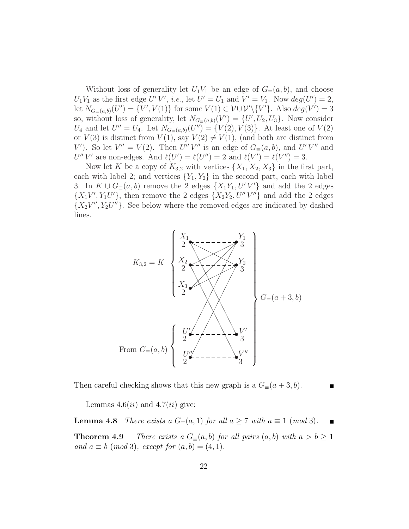Without loss of generality let  $U_1V_1$  be an edge of  $G_=(a, b)$ , and choose  $U_1V_1$  as the first edge U'V', *i.e.*, let  $U' = U_1$  and  $V' = V_1$ . Now  $deg(U') = 2$ , let  $N_{G_{\equiv}(a,b)}(U') = \{V', V(1)\}\$ for some  $V(1) \in \mathcal{V} \cup \mathcal{V}'\backslash \{V'\}\$ . Also  $deg(V') = 3$ so, without loss of generality, let  $N_{G_{\equiv}(a,b)}(V') = \{U', U_2, U_3\}$ . Now consider  $U_4$  and let  $U'' = U_4$ . Let  $N_{G=(a,b)}(U'') = \{V(2), V(3)\}\.$  At least one of  $V(2)$ or  $V(3)$  is distinct from  $V(1)$ , say  $V(2) \neq V(1)$ , (and both are distinct from V'). So let  $V'' = V(2)$ . Then  $U''V''$  is an edge of  $G_{\equiv}(a, b)$ , and  $U'V''$  and U''V' are non-edges. And  $\ell(U') = \ell(U'') = 2$  and  $\ell(V') = \ell(V'') = 3$ .

Now let K be a copy of  $K_{3,2}$  with vertices  $\{X_1, X_2, X_3\}$  in the first part, each with label 2; and vertices  ${Y_1, Y_2}$  in the second part, each with label 3. In  $K \cup G_{\equiv}(a, b)$  remove the 2 edges  $\{X_1Y_1, U'V'\}$  and add the 2 edges  ${X_1V', Y_1U'}$ , then remove the 2 edges  ${X_2Y_2, U''V''}$  and add the 2 edges  $\{X_2V'', Y_2U''\}.$  See below where the removed edges are indicated by dashed lines.



Then careful checking shows that this new graph is a  $G_{\equiv}(a+3,b)$ .

Lemmas  $4.6(ii)$  and  $4.7(ii)$  give:

**Lemma 4.8** *There exists a*  $G_{\equiv}(a,1)$  *for all*  $a \geq 7$  *with*  $a \equiv 1 \pmod{3}$ *.* 

**Theorem 4.9** *There exists a*  $G_{\equiv}(a, b)$  *for all pairs*  $(a, b)$  *with*  $a > b \ge 1$ *and*  $a \equiv b \pmod{3}$ *, except for*  $(a, b) = (4, 1)$ *.*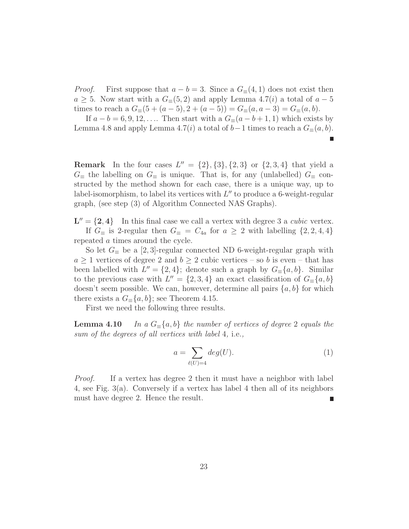*Proof.* First suppose that  $a - b = 3$ . Since a  $G_{\equiv}(4, 1)$  does not exist then  $a \geq 5$ . Now start with a  $G_{\equiv}(5,2)$  and apply Lemma 4.7(*i*) a total of  $a-5$ times to reach a  $G_{\equiv}(5 + (a - 5), 2 + (a - 5)) = G_{\equiv}(a, a - 3) = G_{\equiv}(a, b)$ .

If  $a - b = 6, 9, 12, \ldots$  Then start with a  $G_{\equiv}(a - b + 1, 1)$  which exists by Lemma 4.8 and apply Lemma 4.7(i) a total of  $b-1$  times to reach a  $G_{\equiv}(a, b)$ .

**Remark** In the four cases  $L'' = \{2\}, \{3\}, \{2, 3\}$  or  $\{2, 3, 4\}$  that yield a  $G_{\equiv}$  the labelling on  $G_{\equiv}$  is unique. That is, for any (unlabelled)  $G_{\equiv}$  constructed by the method shown for each case, there is a unique way, up to label-isomorphism, to label its vertices with  $L''$  to produce a 6-weight-regular graph, (see step (3) of Algorithm Connected NAS Graphs).

 $L'' = \{2, 4\}$  In this final case we call a vertex with degree 3 a *cubic* vertex. If  $G_\equiv$  is 2-regular then  $G_\equiv = C_{4a}$  for  $a \geq 2$  with labelling  $\{2, 2, 4, 4\}$ repeated a times around the cycle.

So let  $G_{\equiv}$  be a [2,3]-regular connected ND 6-weight-regular graph with  $a \geq 1$  vertices of degree 2 and  $b \geq 2$  cubic vertices – so b is even – that has been labelled with  $L'' = \{2, 4\}$ ; denote such a graph by  $G_{\equiv}\{a, b\}$ . Similar to the previous case with  $L'' = \{2, 3, 4\}$  an exact classification of  $G_{\equiv}\{a, b\}$ doesn't seem possible. We can, however, determine all pairs  $\{a, b\}$  for which there exists a  $G_{\equiv}\{a, b\}$ ; see Theorem 4.15.

First we need the following three results.

**Lemma 4.10** *In a*  $G_\equiv\{a, b\}$  *the number of vertices of degree* 2 *equals the sum of the degrees of all vertices with label* 4*,* i.e.*,*

$$
a = \sum_{\ell(U)=4} deg(U). \tag{1}
$$

*Proof.* If a vertex has degree 2 then it must have a neighbor with label 4, see Fig. 3(a). Conversely if a vertex has label 4 then all of its neighbors must have degree 2. Hence the result.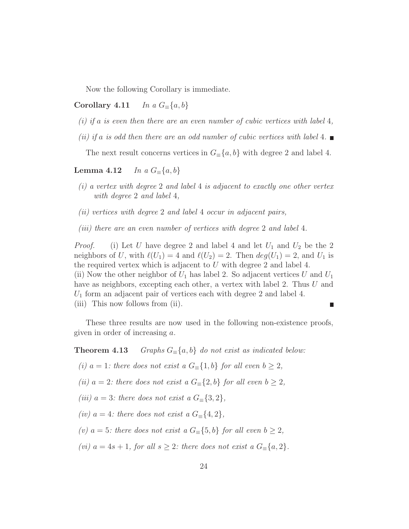Now the following Corollary is immediate.

#### **Corollary 4.11** *In a*  $G_\equiv\{a,b\}$

- *(i) if* a *is even then there are an even number of cubic vertices with label* 4*,*
- *(ii) if* a *is odd then there are an odd number of cubic vertices with label* 4*.*

The next result concerns vertices in  $G_{\equiv}\{a, b\}$  with degree 2 and label 4.

#### **Lemma 4.12** *In a*  $G_\equiv\{a,b\}$

- *(i) a vertex with degree* 2 *and label* 4 *is adjacent to exactly one other vertex with degree* 2 *and label* 4*,*
- *(ii) vertices with degree* 2 *and label* 4 *occur in adjacent pairs,*
- *(iii) there are an even number of vertices with degree* 2 *and label* 4*.*

*Proof.* (i) Let U have degree 2 and label 4 and let  $U_1$  and  $U_2$  be the 2 neighbors of U, with  $\ell(U_1) = 4$  and  $\ell(U_2) = 2$ . Then  $deg(U_1) = 2$ , and  $U_1$  is the required vertex which is adjacent to  $U$  with degree 2 and label 4. (ii) Now the other neighbor of  $U_1$  has label 2. So adjacent vertices U and  $U_1$ have as neighbors, excepting each other, a vertex with label 2. Thus U and  $U_1$  form an adjacent pair of vertices each with degree 2 and label 4. (iii) This now follows from (ii).

These three results are now used in the following non-existence proofs, given in order of increasing a.

**Theorem 4.13** *Graphs*  $G_\equiv\{a, b\}$  *do not exist as indicated below:* 

*(i)*  $a = 1$ *: there does not exist a*  $G_\equiv \{1, b\}$  *for all even*  $b \geq 2$ *,* 

*(ii)*  $a = 2$ *: there does not exist a*  $G_\equiv \{2, b\}$  *for all even*  $b \geq 2$ *,* 

*(iii)*  $a = 3$ *: there does not exist a*  $G_{\equiv}\{3,2\}$ *,* 

*(iv)*  $a = 4$ *: there does not exist a*  $G_{\equiv}\{4,2\}$ *,* 

*(v)*  $a = 5$ *: there does not exist a*  $G \text{≡} \{5, b\}$  *for all even*  $b ≥ 2$ *,* 

*(vi)*  $a = 4s + 1$ *, for all*  $s \geq 2$ *: there does not exist a*  $G_{\equiv}\{a, 2\}$ *.*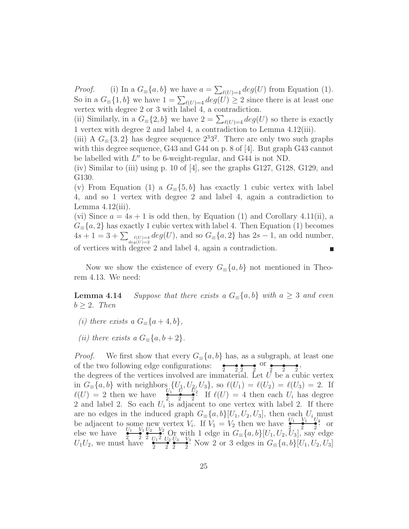*Proof.* (i) In a  $G_{\equiv}\{a, b\}$  we have  $a = \sum_{\ell(U)=4} deg(U)$  from Equation (1). So in a  $G_{\equiv}\{1,b\}$  we have  $1 = \sum_{\ell(U)=4} deg(U) \ge 2$  since there is at least one vertex with degree 2 or 3 with label 4, a contradiction.

(ii) Similarly, in a  $G_{\equiv}\{2, b\}$  we have  $2 = \sum_{\ell(U)=4} deg(U)$  so there is exactly 1 vertex with degree 2 and label 4, a contradiction to Lemma 4.12(iii).

(iii) A  $G_{\equiv}\{3,2\}$  has degree sequence  $2^{3}3^{2}$ . There are only two such graphs with this degree sequence, G43 and G44 on p. 8 of [4]. But graph G43 cannot be labelled with  $L''$  to be 6-weight-regular, and G44 is not ND.

(iv) Similar to (iii) using p. 10 of [4], see the graphs G127, G128, G129, and G130.

(v) From Equation (1) a  $G_{\equiv}\{5, b\}$  has exactly 1 cubic vertex with label 4, and so 1 vertex with degree 2 and label 4, again a contradiction to Lemma  $4.12(iii)$ .

(vi) Since  $a = 4s + 1$  is odd then, by Equation (1) and Corollary 4.11(ii), a  $G_{\equiv}\{a,2\}$  has exactly 1 cubic vertex with label 4. Then Equation (1) becomes  $4s + 1 = 3 + \sum_{\substack{\ell(U)=4 \ \ell \neq g(U)=2}} deg(U)$ , and so  $G_{\equiv}\{a, 2\}$  has  $2s - 1$ , an odd number, of vertices with degree 2 and label 4, again a contradiction.

Now we show the existence of every  $G_{\equiv}\{a, b\}$  not mentioned in Theorem 4.13. We need:

**Lemma 4.14** *Suppose that there exists a*  $G_\equiv\{a, b\}$  *with*  $a \geq 3$  *and even*  $b \geq 2$ *. Then* 

- *(i)* there exists a  $G_\equiv\{a+4,b\}$ ,
- *(ii)* there exists a  $G_\equiv\{a, b+2\}.$

*Proof.* We first show that every  $G_{\equiv}\{a, b\}$  has, as a subgraph, at least one of the two following edge configurations:  $\frac{1}{2}$   $\frac{1}{2}$   $\frac{1}{2}$   $\frac{1}{2}$   $\frac{1}{2}$   $\frac{1}{2}$   $\frac{1}{2}$ the degrees of the vertices involved are immaterial. Let  $\bar{U}$  be a cubic vertex in  $G_{\equiv}\{a, b\}$  with neighbors  $\{U_1, U_2, U_3\}$ , so  $\ell(U_1) = \ell(U_2) = \ell(U_3) = 2$ . If  $\ell(U) = 2$  then we have  $\frac{U_1 \cup U_2 \cup U_3}{2}$ . If  $\ell(U) = 4$  then each  $U_i$  has degree 2 and label 2. So each  $U_i$  is adjacent to one vertex with label 2. If there are no edges in the induced graph  $G_{\equiv}\{a, b\}[U_1, U_2, U_3]$ , then each  $U_i$  must be adjacent to some new vertex  $V_i$ . If  $V_1 = V_2$  then we have  $\frac{U_1}{2} = \frac{V_1}{2} = \frac{V_1}{2}$  or else we have  $\frac{U_1}{2}$   $\frac{V_1}{2}$   $\frac{V_2}{U_3}$   $\frac{V_3}{U_2}$   $\frac{V_2}{U_3}$   $\frac{V_3}{V_4}$   $\frac{V_3}{V_5}$   $\frac{V_4}{V_5}$   $\frac{V_5}{V_6}$   $\frac{V_5}{V_7}$   $\frac{V_6}{V_8}$   $\frac{V_7}{V_8}$   $\frac{V_7}{V_9}$   $\frac{V_8}{V_9}$   $\frac{V_9}{V_9}$   $\$  $U_1U_2$ , we must have  $\frac{2}{2}$   $\frac{2}{3}$   $\frac{U_1}{2}$   $\frac{U_2}{2}$   $\frac{U_3}{2}$  Now 2 or 3 edges in  $G_{\equiv}\{a,b\}[U_1, U_2, U_3]$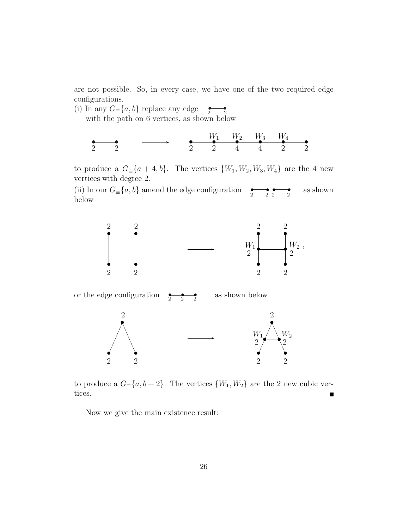are not possible. So, in every case, we have one of the two required edge configurations.

(i) In any  $G_{\equiv}\{a, b\}$  replace any edge  $\underset{2}{\bullet}$ 

with the path on 6 vertices, as shown below

• • 2 2 •••••• 2 W<sup>1</sup> W<sup>2</sup> W<sup>3</sup> W<sup>4</sup> 2 4422

to produce a  $G_{\equiv}\{a+4,b\}$ . The vertices  $\{W_1, W_2, W_3, W_4\}$  are the 4 new vertices with degree 2.

(ii) In our  $G_{\equiv}\{a, b\}$  amend the edge configuration  $\begin{array}{c} \bullet \longrightarrow \bullet \\ 2 \end{array}$ as shown below



or the edge configuration  $\,$  $\frac{1}{2}$  $\overline{2}$ s as shown below



to produce a  $G_{\equiv}\{a, b+2\}$ . The vertices  $\{W_1, W_2\}$  are the 2 new cubic vertices.  $\blacksquare$ 

Now we give the main existence result: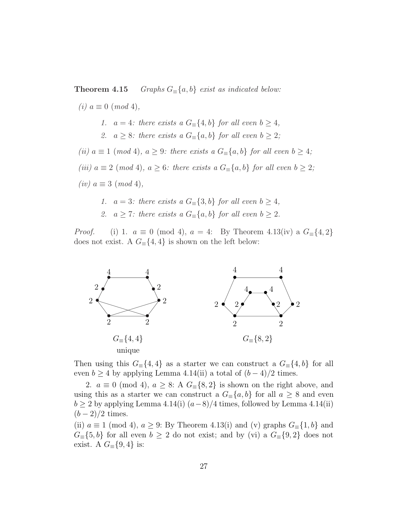**Theorem 4.15** *Graphs*  $G_\equiv\{a, b\}$  *exist as indicated below:* 

 $(i)$   $a ≡ 0$  (*mod* 4), 1.  $a = 4$ *: there exists a*  $G_\equiv \{4, b\}$  *for all even*  $b \geq 4$ *,* 2.  $a \geq 8$ *: there exists a*  $G_{\equiv}\{a, b\}$  *for all even*  $b \geq 2$ *; (ii)*  $a \equiv 1 \pmod{4}$ ,  $a \geq 9$ *: there exists a*  $G_{\equiv}\{a, b\}$  *for all even*  $b \geq 4$ *; (iii)*  $a \equiv 2 \pmod{4}$ ,  $a \geq 6$ *: there exists a*  $G_{\equiv}\{a, b\}$  *for all even*  $b \geq 2$ *;*  $(iv)$   $a \equiv 3 \pmod{4}$ ,

- 1.  $a = 3$ *: there exists a*  $G_\equiv \{3, b\}$  *for all even*  $b \geq 4$ *,*
- *2.*  $a \geq 7$ *: there exists a*  $G_$ <sup> $[$ </sup> $a, b$ } *for all even b* ≥ 2*.*

*Proof.* (i) 1.  $a \equiv 0 \pmod{4}$ ,  $a = 4$ : By Theorem 4.13(iv) a  $G_{\equiv}\{4,2\}$ does not exist. A  $G_{\equiv}\{4,4\}$  is shown on the left below:



Then using this  $G_{\equiv}\{4,4\}$  as a starter we can construct a  $G_{\equiv}\{4,b\}$  for all even  $b \geq 4$  by applying Lemma 4.14(ii) a total of  $(b-4)/2$  times.

2.  $a \equiv 0 \pmod{4}$ ,  $a \geq 8$ : A  $G_{\equiv} \{8, 2\}$  is shown on the right above, and using this as a starter we can construct a  $G_{\equiv}\{a, b\}$  for all  $a \geq 8$  and even  $b \ge 2$  by applying Lemma 4.14(i)  $(a-8)/4$  times, followed by Lemma 4.14(ii)  $(b-2)/2$  times.

(ii)  $a \equiv 1 \pmod{4}$ ,  $a \geq 9$ : By Theorem 4.13(i) and (v) graphs  $G_{\equiv}\{1, b\}$  and  $G \equiv \{5, b\}$  for all even  $b \geq 2$  do not exist; and by (vi) a  $G \equiv \{9, 2\}$  does not exist. A  $G_{\equiv}\{9,4\}$  is: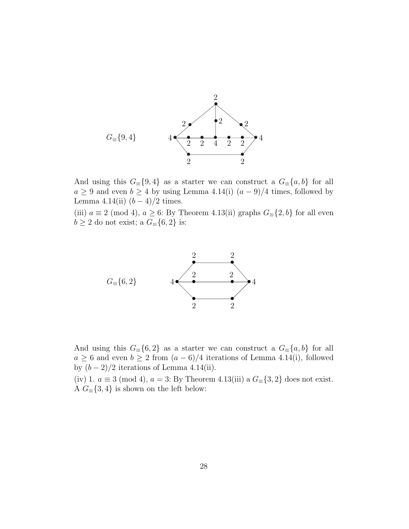

And using this  $G \equiv \{9, 4\}$  as a starter we can construct a  $G \equiv \{a, b\}$  for all  $a \geq 9$  and even  $b \geq 4$  by using Lemma 4.14(i)  $(a-9)/4$  times, followed by Lemma 4.14(ii)  $(b-4)/2$  times.

(iii)  $a \equiv 2 \pmod{4}$ ,  $a \ge 6$ : By Theorem 4.13(ii) graphs  $G_{\equiv} \{2, b\}$  for all even  $b\geq 2$  do not exist; a  $G_\equiv\{6,2\}$  is:



And using this  $G \equiv \{6, 2\}$  as a starter we can construct a  $G \equiv \{a, b\}$  for all  $a \geq 6$  and even  $b \geq 2$  from  $(a - 6)/4$  iterations of Lemma 4.14(i), followed by  $(b-2)/2$  iterations of Lemma 4.14(ii).

(iv) 1.  $a \equiv 3 \pmod{4}$ ,  $a = 3$ : By Theorem 4.13(iii) a  $G_{\equiv} \{3, 2\}$  does not exist. A  $G_{\equiv}\{3,4\}$  is shown on the left below: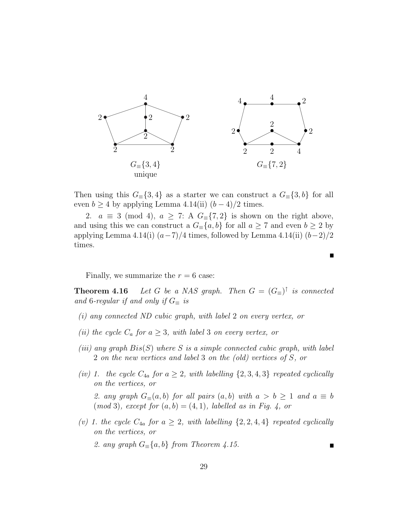

Then using this  $G_{\equiv}\{3,4\}$  as a starter we can construct a  $G_{\equiv}\{3,b\}$  for all even  $b \ge 4$  by applying Lemma 4.14(ii)  $(b-4)/2$  times.

2.  $a \equiv 3 \pmod{4}$ ,  $a \geq 7$ : A  $G_{\equiv} \{7,2\}$  is shown on the right above, and using this we can construct a  $G_{\equiv}\{a, b\}$  for all  $a \geq 7$  and even  $b \geq 2$  by applying Lemma 4.14(i)  $(a-7)/4$  times, followed by Lemma 4.14(ii)  $(b-2)/2$ times.

Finally, we summarize the  $r = 6$  case:

**Theorem 4.16** *Let* G *be a NAS graph. Then*  $G = (G_{\equiv})^{\uparrow}$  *is connected* and 6*-regular if and only if*  $G_{\equiv}$  *is* 

- *(i) any connected ND cubic graph, with label* 2 *on every vertex, or*
- *(ii) the cycle*  $C_a$  *for*  $a \geq 3$ *, with label* 3 *on every vertex, or*
- *(iii) any graph* Bis(S) *where* S *is a simple connected cubic graph, with label* 2 *on the new vertices and label* 3 *on the (old) vertices of* S*, or*
- *(iv)* 1. the cycle  $C_{4a}$  for  $a \geq 2$ , with labelling  $\{2, 3, 4, 3\}$  *repeated cyclically on the vertices, or* 2. any graph  $G_{\equiv}(a, b)$  *for all pairs*  $(a, b)$  *with*  $a > b \ge 1$  *and*  $a \equiv b$  $(mod 3), except for (a, b) = (4, 1), labelled as in Fig. 4, or$
- (*v*) 1. the cycle  $C_{4a}$  for  $a \geq 2$ , with labelling  $\{2, 2, 4, 4\}$  repeated cyclically *on the vertices, or*

2. any graph  $G_\equiv\{a, b\}$  *from Theorem 4.15.* 

Г

П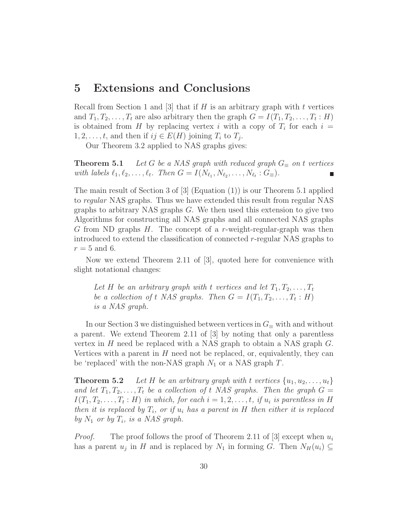### **5 Extensions and Conclusions**

Recall from Section 1 and [3] that if  $H$  is an arbitrary graph with t vertices and  $T_1, T_2, \ldots, T_t$  are also arbitrary then the graph  $G = I(T_1, T_2, \ldots, T_t : H)$ is obtained from H by replacing vertex i with a copy of  $T_i$  for each  $i =$  $1, 2, \ldots, t$ , and then if  $ij \in E(H)$  joining  $T_i$  to  $T_j$ .

Our Theorem 3.2 applied to NAS graphs gives:

**Theorem 5.1** *Let* G *be a NAS graph with reduced graph*  $G_{\equiv}$  *on t vertices with labels*  $\ell_1, \ell_2, \ldots, \ell_t$ *. Then*  $G = I(N_{\ell_1}, N_{\ell_2}, \ldots, N_{\ell_t} : G_{\equiv})$ *.* 

The main result of Section 3 of [3] (Equation (1)) is our Theorem 5.1 applied to *regular* NAS graphs. Thus we have extended this result from regular NAS graphs to arbitrary NAS graphs G. We then used this extension to give two Algorithms for constructing all NAS graphs and all connected NAS graphs G from ND graphs H. The concept of a r-weight-regular-graph was then introduced to extend the classification of connected r-regular NAS graphs to  $r = 5$  and 6.

Now we extend Theorem 2.11 of [3], quoted here for convenience with slight notational changes:

Let H be an arbitrary graph with t vertices and let  $T_1, T_2, \ldots, T_t$ *be a collection of t NAS graphs. Then*  $G = I(T_1, T_2, \ldots, T_t : H)$ *is a NAS graph.*

In our Section 3 we distinguished between vertices in  $G_\equiv$  with and without a parent. We extend Theorem 2.11 of [3] by noting that only a parentless vertex in  $H$  need be replaced with a NAS graph to obtain a NAS graph  $G$ . Vertices with a parent in  $H$  need not be replaced, or, equivalently, they can be 'replaced' with the non-NAS graph  $N_1$  or a NAS graph T.

**Theorem 5.2** *Let* H *be an arbitrary graph with* t *vertices*  $\{u_1, u_2, \ldots, u_t\}$ and let  $T_1, T_2, \ldots, T_t$  be a collection of t NAS graphs. Then the graph  $G =$  $I(T_1, T_2, \ldots, T_t : H)$  *in which, for each*  $i = 1, 2, \ldots, t$ *, if*  $u_i$  *is parentless in* H *then it is replaced by*  $T_i$ *, or if*  $u_i$  *has a parent in*  $H$  *then either it is replaced by*  $N_1$  *or by*  $T_i$ *, is a NAS graph.* 

*Proof.* The proof follows the proof of Theorem 2.11 of [3] except when  $u_i$ has a parent  $u_j$  in H and is replaced by  $N_1$  in forming G. Then  $N_H(u_i) \subseteq$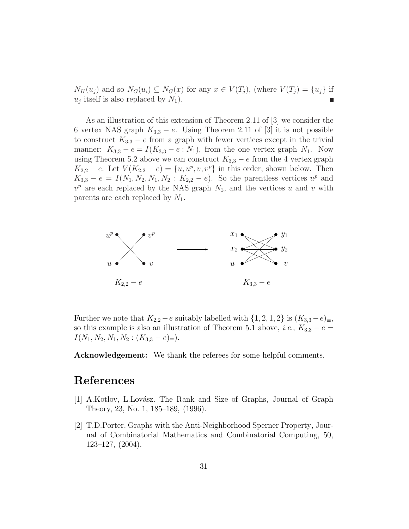$N_H(u_j)$  and so  $N_G(u_i) \subseteq N_G(x)$  for any  $x \in V(T_j)$ , (where  $V(T_j) = \{u_j\}$  if  $u_i$  itself is also replaced by  $N_1$ ). г

As an illustration of this extension of Theorem 2.11 of [3] we consider the 6 vertex NAS graph  $K_{3,3} - e$ . Using Theorem 2.11 of [3] it is not possible to construct  $K_{3,3} - e$  from a graph with fewer vertices except in the trivial manner:  $K_{3,3} - e = I(K_{3,3} - e : N_1)$ , from the one vertex graph  $N_1$ . Now using Theorem 5.2 above we can construct  $K_{3,3} - e$  from the 4 vertex graph  $K_{2,2} - e$ . Let  $V(K_{2,2} - e) = \{u, u^p, v, v^p\}$  in this order, shown below. Then  $K_{3,3} - e = I(N_1, N_2, N_1, N_2 : K_{2,2} - e)$ . So the parentless vertices  $u^p$  and  $v^p$  are each replaced by the NAS graph  $N_2$ , and the vertices u and v with parents are each replaced by  $N_1$ .



Further we note that  $K_{2,2} - e$  suitably labelled with  $\{1, 2, 1, 2\}$  is  $(K_{3,3} - e)_{\equiv}$ , so this example is also an illustration of Theorem 5.1 above, *i.e.*,  $K_{3,3} - e =$  $I(N_1, N_2, N_1, N_2 : (K_{3,3} - e)_{\equiv}).$ 

**Acknowledgement:** We thank the referees for some helpful comments.

## **References**

- [1] A.Kotlov, L.Lovász. The Rank and Size of Graphs, Journal of Graph Theory, 23, No. 1, 185–189, (1996).
- [2] T.D.Porter. Graphs with the Anti-Neighborhood Sperner Property, Journal of Combinatorial Mathematics and Combinatorial Computing, 50, 123–127, (2004).